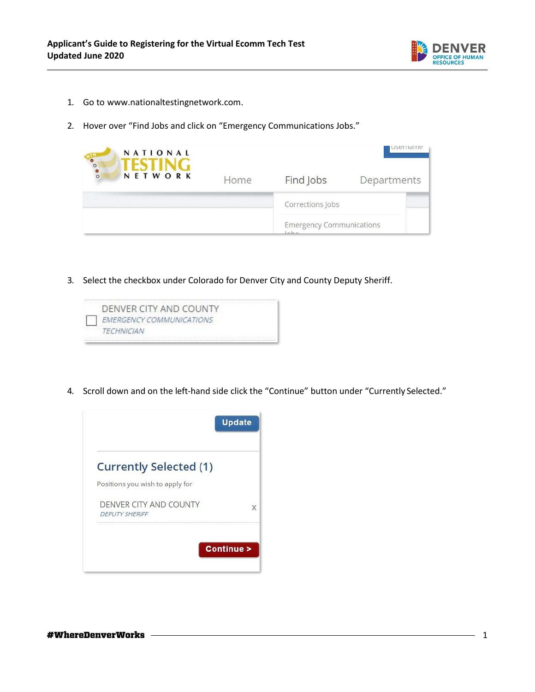

- 1. Go to [www.nationaltestingnetwork.com.](http://www.nationaltestingnetwork.com/)
- 2. Hover over "Find Jobs and click on "Emergency Communications Jobs."

| NATIONAL<br>$\bullet$<br>$\circ$<br>$\degree$<br>NETWORK | Home | Find Jobs                                  | Departments | <b>Serridine</b> |
|----------------------------------------------------------|------|--------------------------------------------|-------------|------------------|
|                                                          |      | Corrections Jobs                           |             |                  |
|                                                          |      | <b>Emergency Communications</b><br>$h - h$ |             |                  |

3. Select the checkbox under Colorado for Denver City and County Deputy Sheriff.



4. Scroll down and on the left-hand side click the "Continue" button under "Currently Selected."

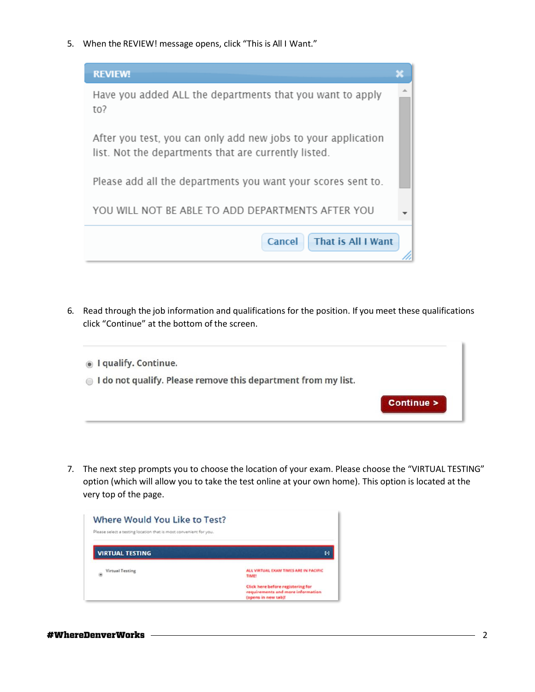5. When the REVIEW! message opens, click "This is All I Want."



6. Read through the job information and qualifications for the position. If you meet these qualifications click "Continue" at the bottom of the screen.



7. The next step prompts you to choose the location of your exam. Please choose the "VIRTUAL TESTING" option (which will allow you to take the test online at your own home). This option is located at the very top of the page.

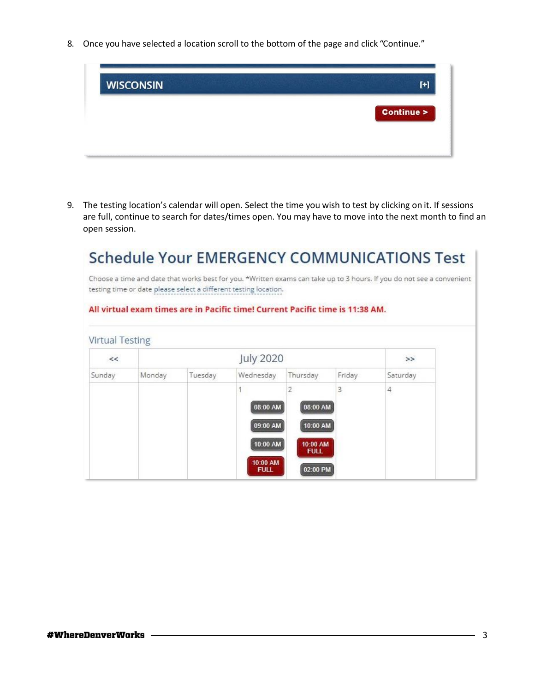8. Once you have selected a location scroll to the bottom of the page and click "Continue."



9. The testing location's calendar will open. Select the time you wish to test by clicking on it. If sessions are full, continue to search for dates/times open. You may have to move into the next month to find an open session.

## **Schedule Your EMERGENCY COMMUNICATIONS Test**

Choose a time and date that works best for you. \*Written exams can take up to 3 hours. If you do not see a convenient testing time or date please select a different testing location.

## All virtual exam times are in Pacific time! Current Pacific time is 11:38 AM.

| $\prec\prec$ |        | <b>July 2020</b> |                         |                         | $\rightarrow$ |          |
|--------------|--------|------------------|-------------------------|-------------------------|---------------|----------|
| Sunday       | Monday | Tuesday          | Wednesday               | Thursday                | Friday        | Saturday |
|              |        |                  |                         |                         | 3             | 4        |
|              |        |                  | 08:00 AM                | 08:00 AM                |               |          |
|              |        |                  | 09:00 AM                | 10:00 AM                |               |          |
|              |        |                  | 10:00 AM                | 10:00 AM<br><b>FULL</b> |               |          |
|              |        |                  | 10:00 AM<br><b>FULL</b> | 02:00 PM                |               |          |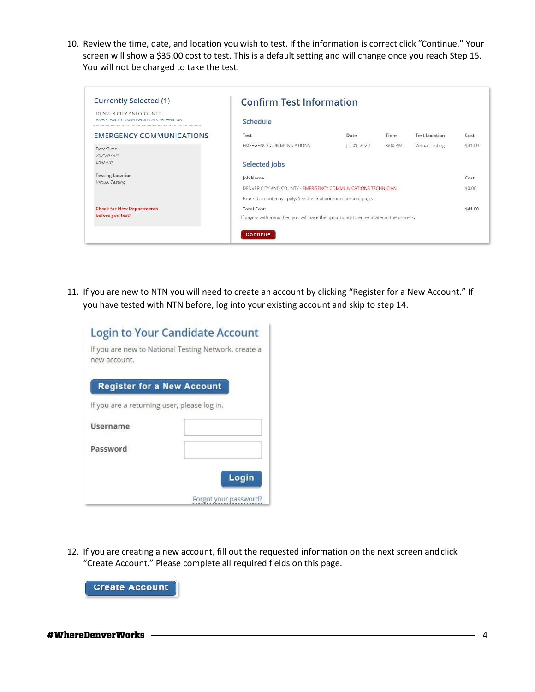10. Review the time, date, and location you wish to test. If the information is correct click "Continue." Your screen will show a \$35.00 cost to test. This is a default setting and will change once you reach Step 15. You will not be charged to take the test.

| Currently Selected (1)                                        | <b>Confirm Test Information</b>                                                           |              |         |                      |         |
|---------------------------------------------------------------|-------------------------------------------------------------------------------------------|--------------|---------|----------------------|---------|
| DENVER CITY AND COUNTY<br>EMERGENCY COMMUNICATIONS TECHNICIAN | Schedule                                                                                  |              |         |                      |         |
| <b>EMERGENCY COMMUNICATIONS</b>                               | Test                                                                                      | Date         | Time    | <b>Test Location</b> | Cost    |
| Date/Time:<br>2020-07-01                                      | <b>EMERGENCY COMMUNICATIONS</b>                                                           | Jul 01, 2020 | 8:00 AM | Virtual Testing      | \$41.00 |
| 8:00 AM                                                       | Selected Jobs                                                                             |              |         |                      |         |
| <b>Testing Location</b><br>Virtual Testing                    | Job Name                                                                                  |              |         |                      | Cost    |
|                                                               | DENVER CITY AND COUNTY - EMERGENCY COMMUNICATIONS TECHNICIAN                              |              |         |                      | \$0.00  |
|                                                               | Exam Discount may apply. See the final price on checkout page.                            |              |         |                      |         |
| <b>Check for New Departments</b>                              | <b>Total Cost:</b>                                                                        |              |         |                      | \$41.00 |
| before you test!                                              | If paying with a voucher, you will have the opportunity to enter it later in the process. |              |         |                      |         |

11. If you are new to NTN you will need to create an account by clicking "Register for a New Account." If you have tested with NTN before, log into your existing account and skip to step 14.

| Login to Your Candidate Account<br>If you are new to National Testing Network, create a<br>new account. |                       |
|---------------------------------------------------------------------------------------------------------|-----------------------|
| <b>Register for a New Account</b><br>If you are a returning user, please log in.                        |                       |
| Username                                                                                                |                       |
| Password                                                                                                |                       |
|                                                                                                         | Login                 |
|                                                                                                         | Forgot your password? |

12. If you are creating a new account, fill out the requested information on the next screen andclick "Create Account." Please complete all required fields on this page.

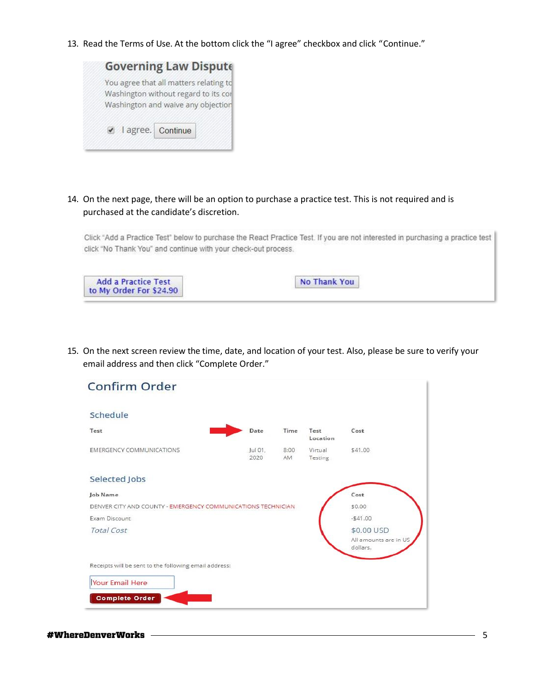13. Read the Terms of Use. At the bottom click the "I agree" checkbox and click "Continue."



14. On the next page, there will be an option to purchase a practice test. This is not required and is purchased at the candidate's discretion.

Click "Add a Practice Test" below to purchase the React Practice Test. If you are not interested in purchasing a practice test click "No Thank You" and continue with your check-out process.



15. On the next screen review the time, date, and location of your test. Also, please be sure to verify your email address and then click "Complete Order."

| <b>Confirm Order</b>                                         |                 |            |                    |                                                 |
|--------------------------------------------------------------|-----------------|------------|--------------------|-------------------------------------------------|
| Schedule                                                     |                 |            |                    |                                                 |
| Test                                                         | Date            | Time       | Test<br>Location   | Cost                                            |
| <b>EMERGENCY COMMUNICATIONS</b>                              | Jul 01,<br>2020 | 8:00<br>AM | Virtual<br>Testing | \$41.00                                         |
| Selected Jobs                                                |                 |            |                    |                                                 |
| <b>Job Name</b>                                              |                 |            |                    | Cost                                            |
| DENVER CITY AND COUNTY - EMERGENCY COMMUNICATIONS TECHNICIAN |                 |            |                    | \$0.00                                          |
| Exam Discount                                                |                 |            |                    | $-541.00$                                       |
| <b>Total Cost</b>                                            |                 |            |                    | \$0.00 USD<br>All amounts are in US<br>dollars. |
| Receipts will be sent to the following email address:        |                 |            |                    |                                                 |
| <b>Your Email Here</b>                                       |                 |            |                    |                                                 |
| <b>Complete Order</b>                                        |                 |            |                    |                                                 |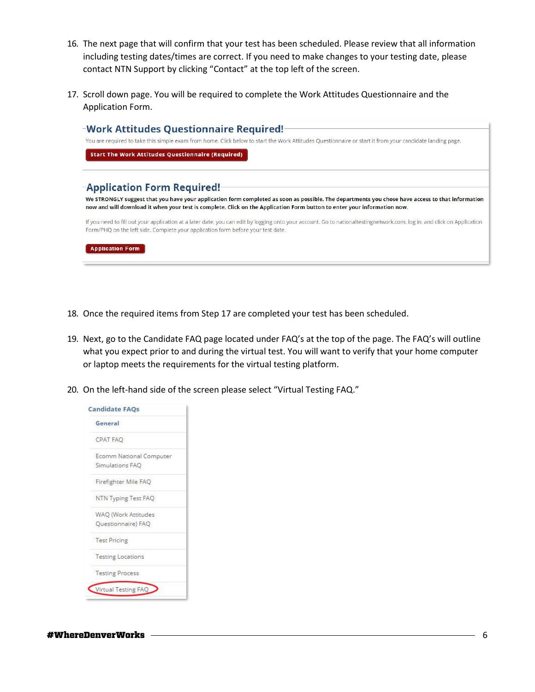- 16. The next page that will confirm that your test has been scheduled. Please review that all information including testing dates/times are correct. If you need to make changes to your testing date, please contact NTN Support by clicking "Contact" at the top left of the screen.
- 17. Scroll down page. You will be required to complete the Work Attitudes Questionnaire and the Application Form.

|                         | -Work Attitudes Questionnaire Required!<br>You are required to take this simple exam from home. Click below to start the Work Attitudes Questionnaire or start it from your candidate landing page.                                                                          |
|-------------------------|------------------------------------------------------------------------------------------------------------------------------------------------------------------------------------------------------------------------------------------------------------------------------|
|                         | <b>Start The Work Attitudes Questionnaire (Required)</b>                                                                                                                                                                                                                     |
|                         | -Application Form Required!                                                                                                                                                                                                                                                  |
|                         | We STRONGLY suggest that you have your application form completed as soon as possible. The departments you chose have access to that information<br>now and will download it when your test is complete. Click on the Application Form button to enter your information now. |
|                         | If you need to fill out your application at a later date, you can edit by logging onto your account. Go to nationaltestingnetwork.com, log in, and click on Application<br>Form/PHQ on the left side. Complete your application form before your test date.                  |
| <b>Application Form</b> |                                                                                                                                                                                                                                                                              |

- 18. Once the required items from Step 17 are completed your test has been scheduled.
- 19. Next, go to the Candidate FAQ page located under FAQ's at the top of the page. The FAQ's will outline what you expect prior to and during the virtual test. You will want to verify that your home computer or laptop meets the requirements for the virtual testing platform.
- 20. On the left-hand side of the screen please select "Virtual Testing FAQ."